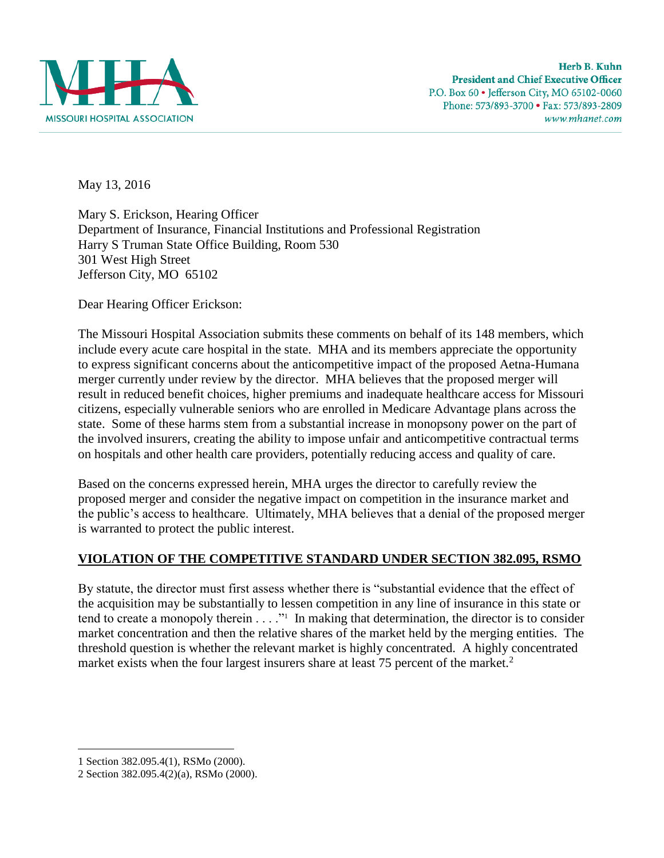

May 13, 2016

Mary S. Erickson, Hearing Officer Department of Insurance, Financial Institutions and Professional Registration Harry S Truman State Office Building, Room 530 301 West High Street Jefferson City, MO 65102

Dear Hearing Officer Erickson:

The Missouri Hospital Association submits these comments on behalf of its 148 members, which include every acute care hospital in the state. MHA and its members appreciate the opportunity to express significant concerns about the anticompetitive impact of the proposed Aetna-Humana merger currently under review by the director. MHA believes that the proposed merger will result in reduced benefit choices, higher premiums and inadequate healthcare access for Missouri citizens, especially vulnerable seniors who are enrolled in Medicare Advantage plans across the state. Some of these harms stem from a substantial increase in monopsony power on the part of the involved insurers, creating the ability to impose unfair and anticompetitive contractual terms on hospitals and other health care providers, potentially reducing access and quality of care.

Based on the concerns expressed herein, MHA urges the director to carefully review the proposed merger and consider the negative impact on competition in the insurance market and the public's access to healthcare. Ultimately, MHA believes that a denial of the proposed merger is warranted to protect the public interest.

## **VIOLATION OF THE COMPETITIVE STANDARD UNDER SECTION 382.095, RSMO**

By statute, the director must first assess whether there is "substantial evidence that the effect of the acquisition may be substantially to lessen competition in any line of insurance in this state or tend to create a monopoly therein  $\dots$ ." In making that determination, the director is to consider market concentration and then the relative shares of the market held by the merging entities. The threshold question is whether the relevant market is highly concentrated. A highly concentrated market exists when the four largest insurers share at least 75 percent of the market. $2$ 

<sup>1</sup> Section 382.095.4(1), RSMo (2000).

<sup>2</sup> Section 382.095.4(2)(a), RSMo (2000).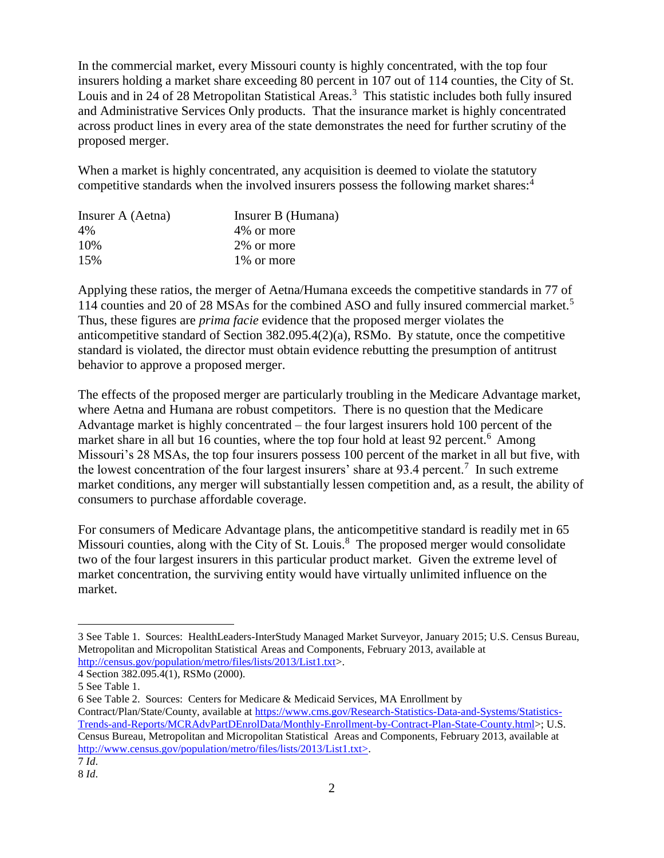In the commercial market, every Missouri county is highly concentrated, with the top four insurers holding a market share exceeding 80 percent in 107 out of 114 counties, the City of St. Louis and in 24 of 28 Metropolitan Statistical Areas.<sup>3</sup> This statistic includes both fully insured and Administrative Services Only products. That the insurance market is highly concentrated across product lines in every area of the state demonstrates the need for further scrutiny of the proposed merger.

When a market is highly concentrated, any acquisition is deemed to violate the statutory competitive standards when the involved insurers possess the following market shares:<sup>4</sup>

| Insurer B (Humana) |
|--------------------|
| 4\% or more        |
| 2% or more         |
| 1\% or more        |
|                    |

Applying these ratios, the merger of Aetna/Humana exceeds the competitive standards in 77 of 114 counties and 20 of 28 MSAs for the combined ASO and fully insured commercial market.<sup>5</sup> Thus, these figures are *prima facie* evidence that the proposed merger violates the anticompetitive standard of Section 382.095.4(2)(a), RSMo. By statute, once the competitive standard is violated, the director must obtain evidence rebutting the presumption of antitrust behavior to approve a proposed merger.

The effects of the proposed merger are particularly troubling in the Medicare Advantage market, where Aetna and Humana are robust competitors. There is no question that the Medicare Advantage market is highly concentrated – the four largest insurers hold 100 percent of the market share in all but 16 counties, where the top four hold at least 92 percent.<sup>6</sup> Among Missouri's 28 MSAs, the top four insurers possess 100 percent of the market in all but five, with the lowest concentration of the four largest insurers' share at 93.4 percent.<sup>7</sup> In such extreme market conditions, any merger will substantially lessen competition and, as a result, the ability of consumers to purchase affordable coverage.

For consumers of Medicare Advantage plans, the anticompetitive standard is readily met in 65 Missouri counties, along with the City of St. Louis.<sup>8</sup> The proposed merger would consolidate two of the four largest insurers in this particular product market. Given the extreme level of market concentration, the surviving entity would have virtually unlimited influence on the market.

<sup>3</sup> See Table 1. Sources: HealthLeaders-InterStudy Managed Market Surveyor, January 2015; U.S. Census Bureau, Metropolitan and Micropolitan Statistical Areas and Components, February 2013, available at [http://census.gov/population/metro/files/lists/2013/List1.txt>](http://census.gov/population/metro/files/lists/2013/List1.txt).

<sup>4</sup> Section 382.095.4(1), RSMo (2000).

<sup>5</sup> See Table 1.

<sup>6</sup> See Table 2. Sources: Centers for Medicare & Medicaid Services, MA Enrollment by Contract/Plan/State/County, available at [https://www.cms.gov/Research-Statistics-Data-and-Systems/Statistics-](https://www.cms.gov/Research-Statistics-Data-and-Systems/Statistics-Trends-and-Reports/MCRAdvPartDEnrolData/Monthly-Enrollment-by-Contract-Plan-State-County.html)[Trends-and-Reports/MCRAdvPartDEnrolData/Monthly-Enrollment-by-Contract-Plan-State-County.html>](https://www.cms.gov/Research-Statistics-Data-and-Systems/Statistics-Trends-and-Reports/MCRAdvPartDEnrolData/Monthly-Enrollment-by-Contract-Plan-State-County.html); U.S. Census Bureau, Metropolitan and Micropolitan Statistical Areas and Components, February 2013, available at [http://www.census.gov/population/metro/files/lists/2013/List1.txt>](http://www.census.gov/population/metro/files/lists/2013/List1.txt). 7 *Id*.

<sup>8</sup> *Id*.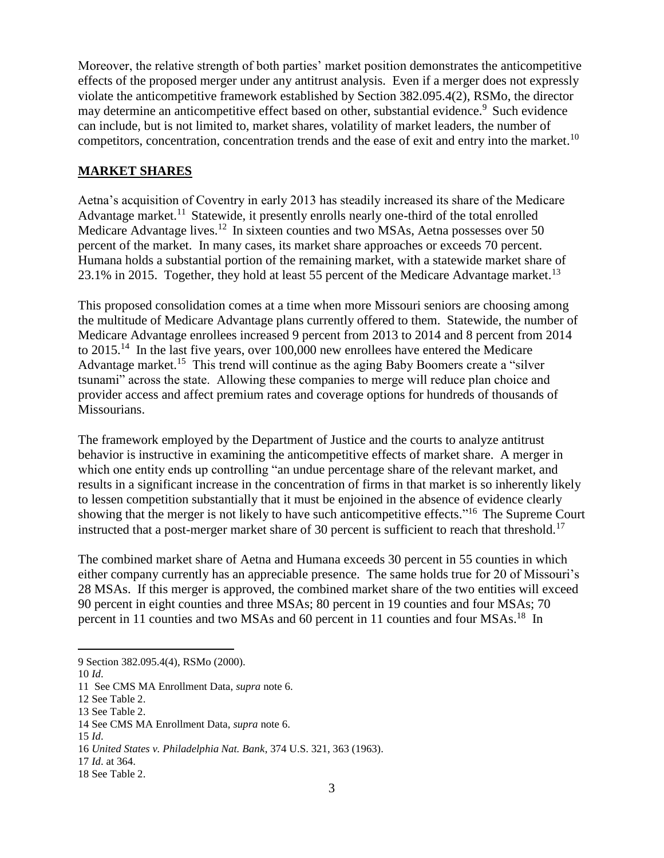Moreover, the relative strength of both parties' market position demonstrates the anticompetitive effects of the proposed merger under any antitrust analysis. Even if a merger does not expressly violate the anticompetitive framework established by Section 382.095.4(2), RSMo, the director may determine an anticompetitive effect based on other, substantial evidence.<sup>9</sup> Such evidence can include, but is not limited to, market shares, volatility of market leaders, the number of competitors, concentration, concentration trends and the ease of exit and entry into the market.<sup>10</sup>

#### **MARKET SHARES**

Aetna's acquisition of Coventry in early 2013 has steadily increased its share of the Medicare Advantage market.<sup>11</sup> Statewide, it presently enrolls nearly one-third of the total enrolled Medicare Advantage lives.<sup>12</sup> In sixteen counties and two MSAs, Aetna possesses over 50 percent of the market. In many cases, its market share approaches or exceeds 70 percent. Humana holds a substantial portion of the remaining market, with a statewide market share of 23.1% in 2015. Together, they hold at least 55 percent of the Medicare Advantage market.<sup>13</sup>

This proposed consolidation comes at a time when more Missouri seniors are choosing among the multitude of Medicare Advantage plans currently offered to them. Statewide, the number of Medicare Advantage enrollees increased 9 percent from 2013 to 2014 and 8 percent from 2014 to  $2015$ .<sup>14</sup> In the last five years, over 100,000 new enrollees have entered the Medicare Advantage market.<sup>15</sup> This trend will continue as the aging Baby Boomers create a "silver tsunami" across the state. Allowing these companies to merge will reduce plan choice and provider access and affect premium rates and coverage options for hundreds of thousands of Missourians.

The framework employed by the Department of Justice and the courts to analyze antitrust behavior is instructive in examining the anticompetitive effects of market share. A merger in which one entity ends up controlling "an undue percentage share of the relevant market, and results in a significant increase in the concentration of firms in that market is so inherently likely to lessen competition substantially that it must be enjoined in the absence of evidence clearly showing that the merger is not likely to have such anticompetitive effects."<sup>16</sup> The Supreme Court instructed that a post-merger market share of 30 percent is sufficient to reach that threshold.<sup>17</sup>

The combined market share of Aetna and Humana exceeds 30 percent in 55 counties in which either company currently has an appreciable presence. The same holds true for 20 of Missouri's 28 MSAs. If this merger is approved, the combined market share of the two entities will exceed 90 percent in eight counties and three MSAs; 80 percent in 19 counties and four MSAs; 70 percent in 11 counties and two MSAs and 60 percent in 11 counties and four MSAs.<sup>18</sup> In

 $\overline{a}$ 

17 *Id*. at 364.

<sup>9</sup> Section 382.095.4(4), RSMo (2000).

<sup>10</sup> *Id*.

<sup>11</sup> See CMS MA Enrollment Data, *supra* note 6.

<sup>12</sup> See Table 2.

<sup>13</sup> See Table 2.

<sup>14</sup> See CMS MA Enrollment Data, *supra* note 6.

<sup>15</sup> *Id*.

<sup>16</sup> *United States v. Philadelphia Nat. Bank*, 374 U.S. 321, 363 (1963).

<sup>18</sup> See Table 2.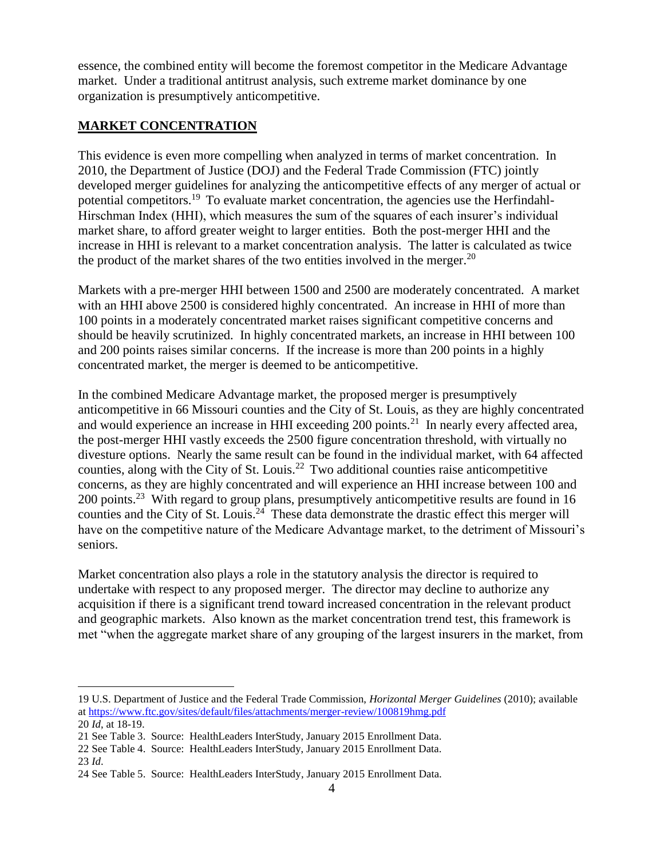essence, the combined entity will become the foremost competitor in the Medicare Advantage market. Under a traditional antitrust analysis, such extreme market dominance by one organization is presumptively anticompetitive.

## **MARKET CONCENTRATION**

This evidence is even more compelling when analyzed in terms of market concentration. In 2010, the Department of Justice (DOJ) and the Federal Trade Commission (FTC) jointly developed merger guidelines for analyzing the anticompetitive effects of any merger of actual or potential competitors.<sup>19</sup> To evaluate market concentration, the agencies use the Herfindahl-Hirschman Index (HHI), which measures the sum of the squares of each insurer's individual market share, to afford greater weight to larger entities. Both the post-merger HHI and the increase in HHI is relevant to a market concentration analysis. The latter is calculated as twice the product of the market shares of the two entities involved in the merger. $^{20}$ 

Markets with a pre-merger HHI between 1500 and 2500 are moderately concentrated. A market with an HHI above 2500 is considered highly concentrated. An increase in HHI of more than 100 points in a moderately concentrated market raises significant competitive concerns and should be heavily scrutinized. In highly concentrated markets, an increase in HHI between 100 and 200 points raises similar concerns. If the increase is more than 200 points in a highly concentrated market, the merger is deemed to be anticompetitive.

In the combined Medicare Advantage market, the proposed merger is presumptively anticompetitive in 66 Missouri counties and the City of St. Louis, as they are highly concentrated and would experience an increase in HHI exceeding  $200$  points.<sup>21</sup> In nearly every affected area, the post-merger HHI vastly exceeds the 2500 figure concentration threshold, with virtually no divesture options. Nearly the same result can be found in the individual market, with 64 affected counties, along with the City of St. Louis.<sup>22</sup> Two additional counties raise anticompetitive concerns, as they are highly concentrated and will experience an HHI increase between 100 and 200 points.<sup>23</sup> With regard to group plans, presumptively anticompetitive results are found in 16 counties and the City of St. Louis.<sup>24</sup> These data demonstrate the drastic effect this merger will have on the competitive nature of the Medicare Advantage market, to the detriment of Missouri's seniors.

Market concentration also plays a role in the statutory analysis the director is required to undertake with respect to any proposed merger. The director may decline to authorize any acquisition if there is a significant trend toward increased concentration in the relevant product and geographic markets. Also known as the market concentration trend test, this framework is met "when the aggregate market share of any grouping of the largest insurers in the market, from

23 *Id*.

<sup>19</sup> U.S. Department of Justice and the Federal Trade Commission, *Horizontal Merger Guidelines* (2010); available a[t https://www.ftc.gov/sites/default/files/attachments/merger-review/100819hmg.pdf](https://www.ftc.gov/sites/default/files/attachments/merger-review/100819hmg.pdf)

<sup>20</sup> *Id*, at 18-19.

<sup>21</sup> See Table 3. Source: HealthLeaders InterStudy, January 2015 Enrollment Data.

<sup>22</sup> See Table 4. Source: HealthLeaders InterStudy, January 2015 Enrollment Data.

<sup>24</sup> See Table 5. Source: HealthLeaders InterStudy, January 2015 Enrollment Data.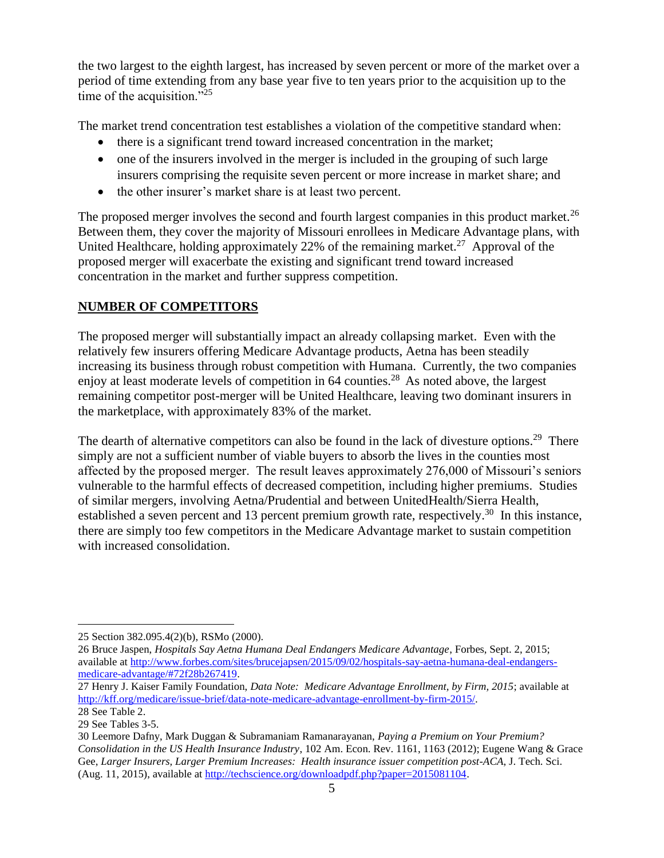the two largest to the eighth largest, has increased by seven percent or more of the market over a period of time extending from any base year five to ten years prior to the acquisition up to the time of the acquisition."<sup>25</sup>

The market trend concentration test establishes a violation of the competitive standard when:

- there is a significant trend toward increased concentration in the market;
- one of the insurers involved in the merger is included in the grouping of such large insurers comprising the requisite seven percent or more increase in market share; and
- the other insurer's market share is at least two percent.

The proposed merger involves the second and fourth largest companies in this product market.<sup>26</sup> Between them, they cover the majority of Missouri enrollees in Medicare Advantage plans, with United Healthcare, holding approximately 22% of the remaining market.<sup>27</sup> Approval of the proposed merger will exacerbate the existing and significant trend toward increased concentration in the market and further suppress competition.

## **NUMBER OF COMPETITORS**

The proposed merger will substantially impact an already collapsing market. Even with the relatively few insurers offering Medicare Advantage products, Aetna has been steadily increasing its business through robust competition with Humana. Currently, the two companies enjoy at least moderate levels of competition in 64 counties.<sup>28</sup> As noted above, the largest remaining competitor post-merger will be United Healthcare, leaving two dominant insurers in the marketplace, with approximately 83% of the market.

The dearth of alternative competitors can also be found in the lack of divesture options.<sup>29</sup> There simply are not a sufficient number of viable buyers to absorb the lives in the counties most affected by the proposed merger. The result leaves approximately 276,000 of Missouri's seniors vulnerable to the harmful effects of decreased competition, including higher premiums. Studies of similar mergers, involving Aetna/Prudential and between UnitedHealth/Sierra Health, established a seven percent and 13 percent premium growth rate, respectively.<sup>30</sup> In this instance, there are simply too few competitors in the Medicare Advantage market to sustain competition with increased consolidation.

<sup>25</sup> Section 382.095.4(2)(b), RSMo (2000).

<sup>26</sup> Bruce Jaspen, *Hospitals Say Aetna Humana Deal Endangers Medicare Advantage*, Forbes, Sept. 2, 2015; available at [http://www.forbes.com/sites/brucejapsen/2015/09/02/hospitals-say-aetna-humana-deal-endangers](http://www.forbes.com/sites/brucejapsen/2015/09/02/hospitals-say-aetna-humana-deal-endangers-medicare-advantage/#72f28b267419)[medicare-advantage/#72f28b267419.](http://www.forbes.com/sites/brucejapsen/2015/09/02/hospitals-say-aetna-humana-deal-endangers-medicare-advantage/#72f28b267419)

<sup>27</sup> Henry J. Kaiser Family Foundation, *Data Note: Medicare Advantage Enrollment, by Firm, 2015*; available at [http://kff.org/medicare/issue-brief/data-note-medicare-advantage-enrollment-by-firm-2015/.](http://kff.org/medicare/issue-brief/data-note-medicare-advantage-enrollment-by-firm-2015/) 28 See Table 2.

<sup>29</sup> See Tables 3-5.

<sup>30</sup> Leemore Dafny, Mark Duggan & Subramaniam Ramanarayanan, *Paying a Premium on Your Premium? Consolidation in the US Health Insurance Industry*, 102 Am. Econ. Rev. 1161, 1163 (2012); Eugene Wang & Grace Gee, *Larger Insurers, Larger Premium Increases: Health insurance issuer competition post-ACA*, J. Tech. Sci. (Aug. 11, 2015), available at [http://techscience.org/downloadpdf.php?paper=2015081104.](http://techscience.org/downloadpdf.php?paper=2015081104)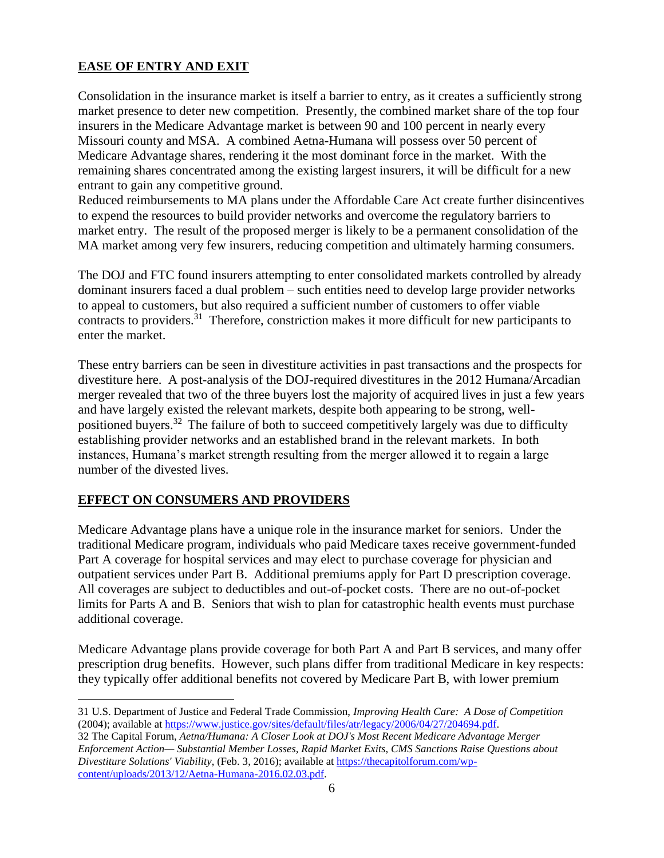# **EASE OF ENTRY AND EXIT**

Consolidation in the insurance market is itself a barrier to entry, as it creates a sufficiently strong market presence to deter new competition. Presently, the combined market share of the top four insurers in the Medicare Advantage market is between 90 and 100 percent in nearly every Missouri county and MSA. A combined Aetna-Humana will possess over 50 percent of Medicare Advantage shares, rendering it the most dominant force in the market. With the remaining shares concentrated among the existing largest insurers, it will be difficult for a new entrant to gain any competitive ground.

Reduced reimbursements to MA plans under the Affordable Care Act create further disincentives to expend the resources to build provider networks and overcome the regulatory barriers to market entry. The result of the proposed merger is likely to be a permanent consolidation of the MA market among very few insurers, reducing competition and ultimately harming consumers.

The DOJ and FTC found insurers attempting to enter consolidated markets controlled by already dominant insurers faced a dual problem – such entities need to develop large provider networks to appeal to customers, but also required a sufficient number of customers to offer viable contracts to providers.<sup>31</sup> Therefore, constriction makes it more difficult for new participants to enter the market.

These entry barriers can be seen in divestiture activities in past transactions and the prospects for divestiture here. A post-analysis of the DOJ-required divestitures in the 2012 Humana/Arcadian merger revealed that two of the three buyers lost the majority of acquired lives in just a few years and have largely existed the relevant markets, despite both appearing to be strong, wellpositioned buyers.<sup>32</sup> The failure of both to succeed competitively largely was due to difficulty establishing provider networks and an established brand in the relevant markets. In both instances, Humana's market strength resulting from the merger allowed it to regain a large number of the divested lives.

## **EFFECT ON CONSUMERS AND PROVIDERS**

Medicare Advantage plans have a unique role in the insurance market for seniors. Under the traditional Medicare program, individuals who paid Medicare taxes receive government-funded Part A coverage for hospital services and may elect to purchase coverage for physician and outpatient services under Part B. Additional premiums apply for Part D prescription coverage. All coverages are subject to deductibles and out-of-pocket costs. There are no out-of-pocket limits for Parts A and B. Seniors that wish to plan for catastrophic health events must purchase additional coverage.

Medicare Advantage plans provide coverage for both Part A and Part B services, and many offer prescription drug benefits. However, such plans differ from traditional Medicare in key respects: they typically offer additional benefits not covered by Medicare Part B, with lower premium

 $\overline{a}$ 31 U.S. Department of Justice and Federal Trade Commission, *Improving Health Care: A Dose of Competition* (2004); available at [https://www.justice.gov/sites/default/files/atr/legacy/2006/04/27/204694.pdf.](https://www.justice.gov/sites/default/files/atr/legacy/2006/04/27/204694.pdf)

32 The Capital Forum, *Aetna/Humana: A Closer Look at DOJ's Most Recent Medicare Advantage Merger Enforcement Action— Substantial Member Losses, Rapid Market Exits, CMS Sanctions Raise Questions about Divestiture Solutions' Viability*, (Feb. 3, 2016); available at [https://thecapitolforum.com/wp](https://thecapitolforum.com/wp-content/uploads/2013/12/Aetna-Humana-2016.02.03.pdf)[content/uploads/2013/12/Aetna-Humana-2016.02.03.pdf.](https://thecapitolforum.com/wp-content/uploads/2013/12/Aetna-Humana-2016.02.03.pdf)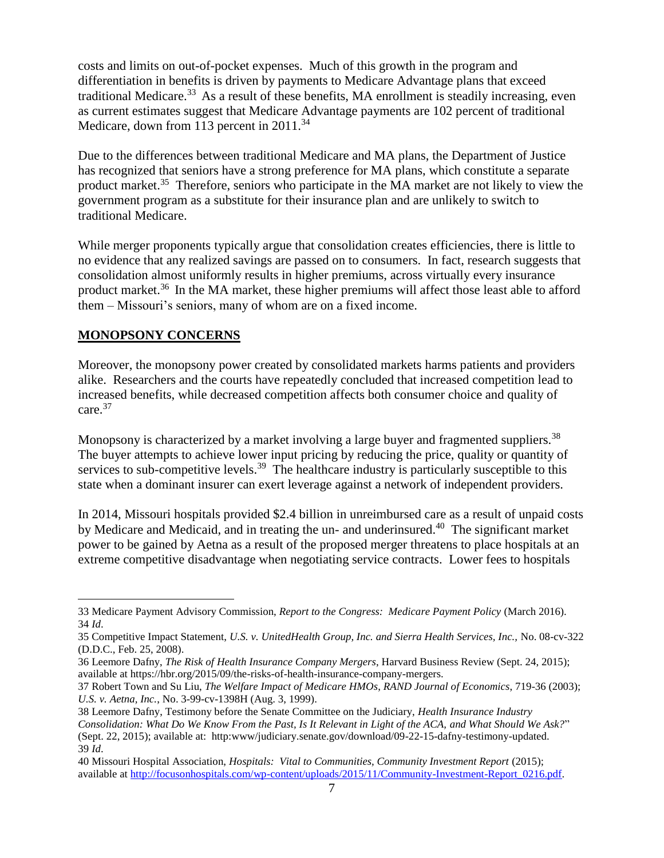costs and limits on out-of-pocket expenses. Much of this growth in the program and differentiation in benefits is driven by payments to Medicare Advantage plans that exceed traditional Medicare.<sup>33</sup> As a result of these benefits, MA enrollment is steadily increasing, even as current estimates suggest that Medicare Advantage payments are 102 percent of traditional Medicare, down from 113 percent in 2011.<sup>34</sup>

Due to the differences between traditional Medicare and MA plans, the Department of Justice has recognized that seniors have a strong preference for MA plans, which constitute a separate product market.<sup>35</sup> Therefore, seniors who participate in the MA market are not likely to view the government program as a substitute for their insurance plan and are unlikely to switch to traditional Medicare.

While merger proponents typically argue that consolidation creates efficiencies, there is little to no evidence that any realized savings are passed on to consumers. In fact, research suggests that consolidation almost uniformly results in higher premiums, across virtually every insurance product market.<sup>36</sup> In the MA market, these higher premiums will affect those least able to afford them – Missouri's seniors, many of whom are on a fixed income.

### **MONOPSONY CONCERNS**

 $\overline{a}$ 

Moreover, the monopsony power created by consolidated markets harms patients and providers alike. Researchers and the courts have repeatedly concluded that increased competition lead to increased benefits, while decreased competition affects both consumer choice and quality of care.<sup>37</sup>

Monopsony is characterized by a market involving a large buyer and fragmented suppliers.<sup>38</sup> The buyer attempts to achieve lower input pricing by reducing the price, quality or quantity of services to sub-competitive levels.<sup>39</sup> The healthcare industry is particularly susceptible to this state when a dominant insurer can exert leverage against a network of independent providers.

In 2014, Missouri hospitals provided \$2.4 billion in unreimbursed care as a result of unpaid costs by Medicare and Medicaid, and in treating the un- and underinsured.<sup>40</sup> The significant market power to be gained by Aetna as a result of the proposed merger threatens to place hospitals at an extreme competitive disadvantage when negotiating service contracts. Lower fees to hospitals

<sup>33</sup> Medicare Payment Advisory Commission, *Report to the Congress: Medicare Payment Policy* (March 2016). 34 *Id*.

<sup>35</sup> Competitive Impact Statement, *U.S. v. UnitedHealth Group, Inc. and Sierra Health Services, Inc.,* No. 08-cv-322 (D.D.C., Feb. 25, 2008).

<sup>36</sup> Leemore Dafny, *The Risk of Health Insurance Company Mergers*, Harvard Business Review (Sept. 24, 2015); available at https://hbr.org/2015/09/the-risks-of-health-insurance-company-mergers.

<sup>37</sup> Robert Town and Su Liu, *The Welfare Impact of Medicare HMOs*, *RAND Journal of Economics*, 719-36 (2003); *U.S. v. Aetna, Inc.*, No. 3-99-cv-1398H (Aug. 3, 1999).

<sup>38</sup> Leemore Dafny, Testimony before the Senate Committee on the Judiciary, *Health Insurance Industry Consolidation: What Do We Know From the Past, Is It Relevant in Light of the ACA, and What Should We Ask?*" (Sept. 22, 2015); available at: http:www/judiciary.senate.gov/download/09-22-15-dafny-testimony-updated. 39 *Id*.

<sup>40</sup> Missouri Hospital Association, *Hospitals: Vital to Communities, Community Investment Report* (2015); available at [http://focusonhospitals.com/wp-content/uploads/2015/11/Community-Investment-Report\\_0216.pdf.](http://focusonhospitals.com/wp-content/uploads/2015/11/Community-Investment-Report_0216.pdf)